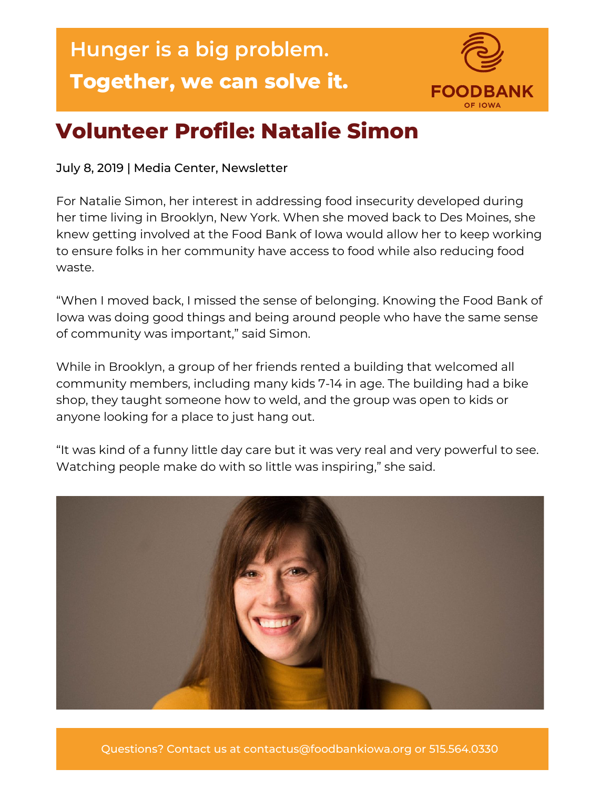## **Hunger is a big problem. Together, we can solve it.**



## **Volunteer Profile: Natalie Simon**

July 8, 2019 | Media Center, Newsletter

For Natalie Simon, her interest in addressing food insecurity developed during her time living in Brooklyn, New York. When she moved back to Des Moines, she knew getting involved at the Food Bank of Iowa would allow her to keep working to ensure folks in her community have access to food while also reducing food waste.

"When I moved back, I missed the sense of belonging. Knowing the Food Bank of Iowa was doing good things and being around people who have the same sense of community was important," said Simon.

While in Brooklyn, a group of her friends rented a building that welcomed all community members, including many kids 7-14 in age. The building had a bike shop, they taught someone how to weld, and the group was open to kids or anyone looking for a place to just hang out.

"It was kind of a funny little day care but it was very real and very powerful to see. Watching people make do with so little was inspiring," she said.



Questions? Contact us at contactus@foodbankiowa.org or 515.564.0330